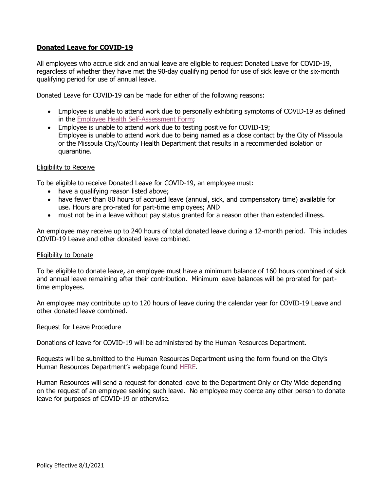# **Donated Leave for COVID-19**

All employees who accrue sick and annual leave are eligible to request Donated Leave for COVID-19, regardless of whether they have met the 90-day qualifying period for use of sick leave or the six-month qualifying period for use of annual leave.

Donated Leave for COVID-19 can be made for either of the following reasons:

- Employee is unable to attend work due to personally exhibiting symptoms of COVID-19 as defined in the [Employee Health Self-Assessment Form;](https://www.ci.missoula.mt.us/DocumentCenter/View/53417/COVID-Employee-Health-Self-Assessment-072420)
- Employee is unable to attend work due to testing positive for COVID-19; Employee is unable to attend work due to being named as a close contact by the City of Missoula or the Missoula City/County Health Department that results in a recommended isolation or quarantine.

### Eligibility to Receive

To be eligible to receive Donated Leave for COVID-19, an employee must:

- have a qualifying reason listed above;
- have fewer than 80 hours of accrued leave (annual, sick, and compensatory time) available for use. Hours are pro-rated for part-time employees; AND
- must not be in a leave without pay status granted for a reason other than extended illness.

An employee may receive up to 240 hours of total donated leave during a 12-month period. This includes COVID-19 Leave and other donated leave combined.

### Eligibility to Donate

To be eligible to donate leave, an employee must have a minimum balance of 160 hours combined of sick and annual leave remaining after their contribution. Minimum leave balances will be prorated for parttime employees.

An employee may contribute up to 120 hours of leave during the calendar year for COVID-19 Leave and other donated leave combined.

### Request for Leave Procedure

Donations of leave for COVID-19 will be administered by the Human Resources Department.

Requests will be submitted to the Human Resources Department using the form found on the City's Human Resources Department's webpage found [HERE.](https://www.ci.missoula.mt.us/DocumentCenter/View/57301/Donation-Request-for-Donated-Covid-Leave)

Human Resources will send a request for donated leave to the Department Only or City Wide depending on the request of an employee seeking such leave. No employee may coerce any other person to donate leave for purposes of COVID-19 or otherwise.